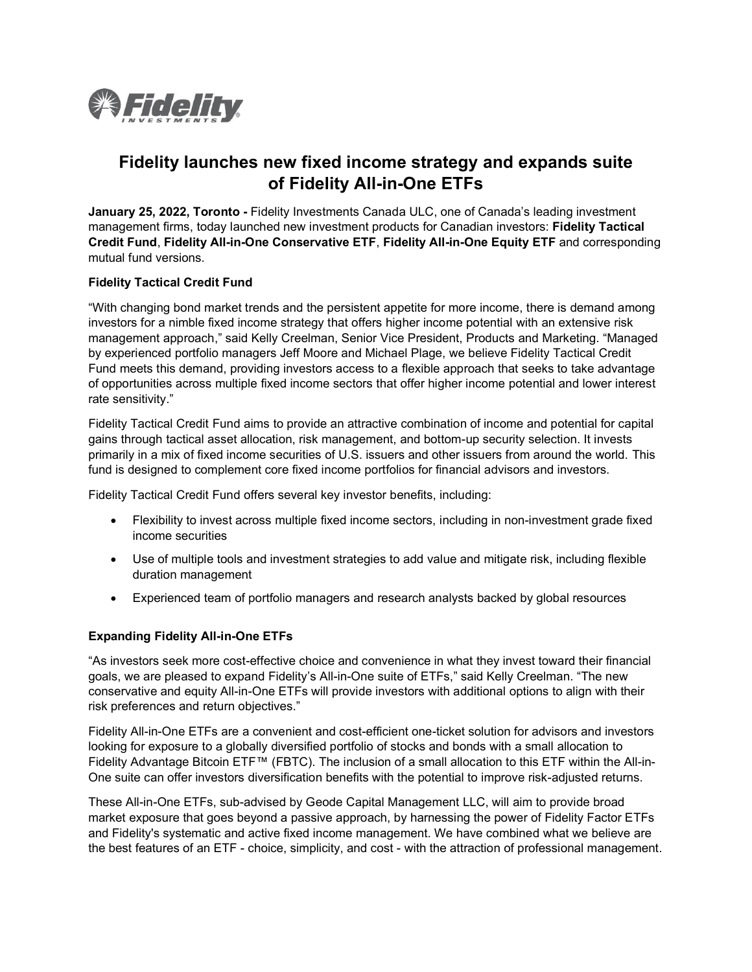

## **Fidelity launches new fixed income strategy and expands suite of Fidelity All-in-One ETFs**

**January 25, 2022, Toronto -** Fidelity Investments Canada ULC, one of Canada's leading investment management firms, today launched new investment products for Canadian investors: **Fidelity Tactical Credit Fund**, **Fidelity All-in-One Conservative ETF**, **Fidelity All-in-One Equity ETF** and corresponding mutual fund versions.

## **Fidelity Tactical Credit Fund**

"With changing bond market trends and the persistent appetite for more income, there is demand among investors for a nimble fixed income strategy that offers higher income potential with an extensive risk management approach," said Kelly Creelman, Senior Vice President, Products and Marketing. "Managed by experienced portfolio managers Jeff Moore and Michael Plage, we believe Fidelity Tactical Credit Fund meets this demand, providing investors access to a flexible approach that seeks to take advantage of opportunities across multiple fixed income sectors that offer higher income potential and lower interest rate sensitivity."

Fidelity Tactical Credit Fund aims to provide an attractive combination of income and potential for capital gains through tactical asset allocation, risk management, and bottom-up security selection. It invests primarily in a mix of fixed income securities of U.S. issuers and other issuers from around the world. This fund is designed to complement core fixed income portfolios for financial advisors and investors.

Fidelity Tactical Credit Fund offers several key investor benefits, including:

- Flexibility to invest across multiple fixed income sectors, including in non-investment grade fixed income securities
- Use of multiple tools and investment strategies to add value and mitigate risk, including flexible duration management
- Experienced team of portfolio managers and research analysts backed by global resources

## **Expanding Fidelity All-in-One ETFs**

"As investors seek more cost-effective choice and convenience in what they invest toward their financial goals, we are pleased to expand Fidelity's All-in-One suite of ETFs," said Kelly Creelman. "The new conservative and equity All-in-One ETFs will provide investors with additional options to align with their risk preferences and return objectives."

Fidelity All-in-One ETFs are a convenient and cost-efficient one-ticket solution for advisors and investors looking for exposure to a globally diversified portfolio of stocks and bonds with a small allocation to Fidelity Advantage Bitcoin ETF™ (FBTC). The inclusion of a small allocation to this ETF within the All-in-One suite can offer investors diversification benefits with the potential to improve risk-adjusted returns.

These All-in-One ETFs, sub-advised by Geode Capital Management LLC, will aim to provide broad market exposure that goes beyond a passive approach, by harnessing the power of Fidelity Factor ETFs and Fidelity's systematic and active fixed income management. We have combined what we believe are the best features of an ETF - choice, simplicity, and cost - with the attraction of professional management.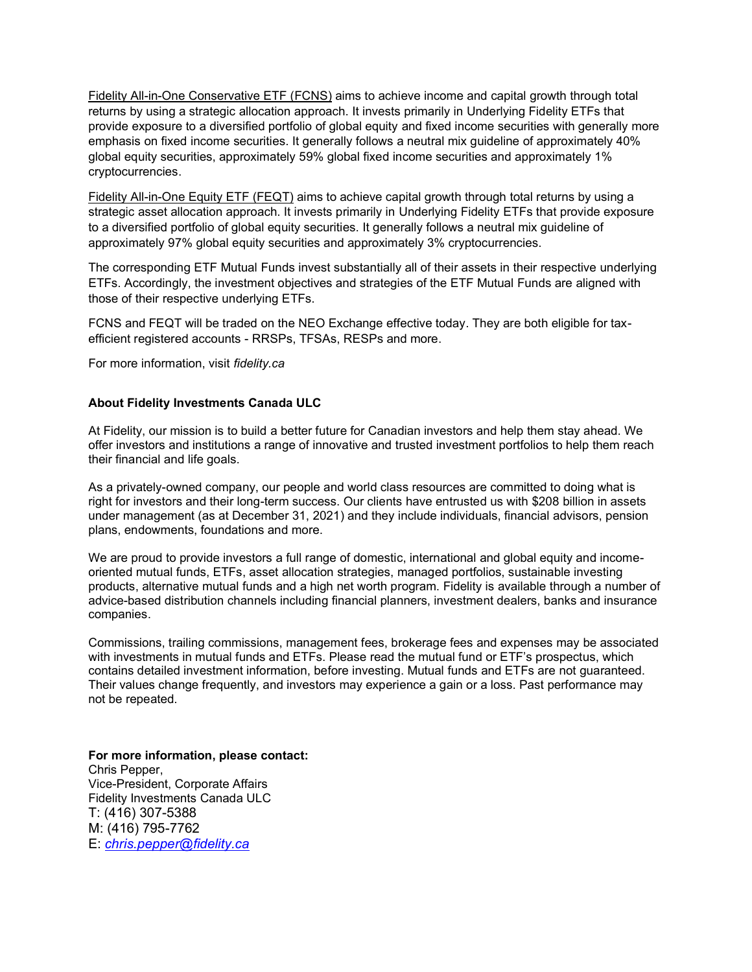Fidelity All-in-One Conservative ETF (FCNS) aims to achieve income and capital growth through total returns by using a strategic allocation approach. It invests primarily in Underlying Fidelity ETFs that provide exposure to a diversified portfolio of global equity and fixed income securities with generally more emphasis on fixed income securities. It generally follows a neutral mix guideline of approximately 40% global equity securities, approximately 59% global fixed income securities and approximately 1% cryptocurrencies.

Fidelity All-in-One Equity ETF (FEQT) aims to achieve capital growth through total returns by using a strategic asset allocation approach. It invests primarily in Underlying Fidelity ETFs that provide exposure to a diversified portfolio of global equity securities. It generally follows a neutral mix guideline of approximately 97% global equity securities and approximately 3% cryptocurrencies.

The corresponding ETF Mutual Funds invest substantially all of their assets in their respective underlying ETFs. Accordingly, the investment objectives and strategies of the ETF Mutual Funds are aligned with those of their respective underlying ETFs.

FCNS and FEQT will be traded on the NEO Exchange effective today. They are both eligible for taxefficient registered accounts - RRSPs, TFSAs, RESPs and more.

For more information, visit *[fidelity.ca](https://www.fidelity.ca)*

## **About Fidelity Investments Canada ULC**

At Fidelity, our mission is to build a better future for Canadian investors and help them stay ahead. We offer investors and institutions a range of innovative and trusted investment portfolios to help them reach their financial and life goals.

As a privately-owned company, our people and world class resources are committed to doing what is right for investors and their long-term success. Our clients have entrusted us with \$208 billion in assets under management (as at December 31, 2021) and they include individuals, financial advisors, pension plans, endowments, foundations and more.

We are proud to provide investors a full range of domestic, international and global equity and incomeoriented mutual funds, ETFs, asset allocation strategies, managed portfolios, sustainable investing products, alternative mutual funds and a high net worth program. Fidelity is available through a number of advice-based distribution channels including financial planners, investment dealers, banks and insurance companies.

Commissions, trailing commissions, management fees, brokerage fees and expenses may be associated with investments in mutual funds and ETFs. Please read the mutual fund or ETF's prospectus, which contains detailed investment information, before investing. Mutual funds and ETFs are not guaranteed. Their values change frequently, and investors may experience a gain or a loss. Past performance may not be repeated.

**For more information, please contact:**  Chris Pepper, Vice-President, Corporate Affairs Fidelity Investments Canada ULC T: (416) 307-5388 M: (416) 795-7762 E: *[chris.pepper@fidelity.ca](mailto:chris.pepper@fidelity.ca)*